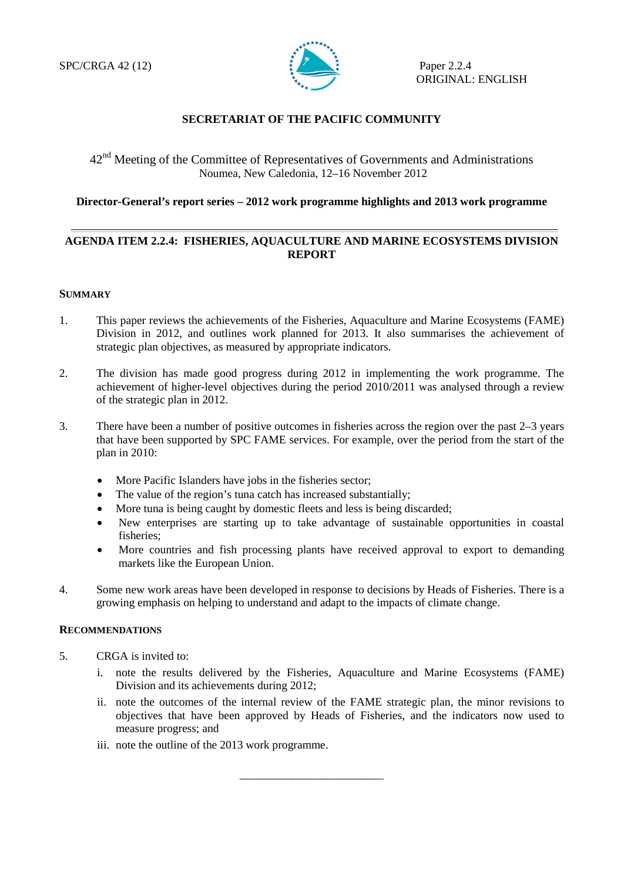

## **SECRETARIAT OF THE PACIFIC COMMUNITY**

# 42nd Meeting of the Committee of Representatives of Governments and Administrations Noumea, New Caledonia, 12–16 November 2012

### **Director-General's report series – 2012 work programme highlights and 2013 work programme**

## **AGENDA ITEM 2.2.4: FISHERIES, AQUACULTURE AND MARINE ECOSYSTEMS DIVISION REPORT**

#### **SUMMARY**

- 1. This paper reviews the achievements of the Fisheries, Aquaculture and Marine Ecosystems (FAME) Division in 2012, and outlines work planned for 2013. It also summarises the achievement of strategic plan objectives, as measured by appropriate indicators.
- 2. The division has made good progress during 2012 in implementing the work programme. The achievement of higher-level objectives during the period 2010/2011 was analysed through a review of the strategic plan in 2012.
- 3. There have been a number of positive outcomes in fisheries across the region over the past 2–3 years that have been supported by SPC FAME services. For example, over the period from the start of the plan in 2010:
	- More Pacific Islanders have jobs in the fisheries sector;
	- The value of the region's tuna catch has increased substantially;
	- More tuna is being caught by domestic fleets and less is being discarded;
	- New enterprises are starting up to take advantage of sustainable opportunities in coastal fisheries;
	- More countries and fish processing plants have received approval to export to demanding markets like the European Union.
- 4. Some new work areas have been developed in response to decisions by Heads of Fisheries. There is a growing emphasis on helping to understand and adapt to the impacts of climate change.

#### **RECOMMENDATIONS**

- 5. CRGA is invited to:
	- i. note the results delivered by the Fisheries, Aquaculture and Marine Ecosystems (FAME) Division and its achievements during 2012;
	- ii. note the outcomes of the internal review of the FAME strategic plan, the minor revisions to objectives that have been approved by Heads of Fisheries, and the indicators now used to measure progress; and

\_\_\_\_\_\_\_\_\_\_\_\_\_\_\_\_\_\_\_\_\_\_\_\_\_

iii. note the outline of the 2013 work programme.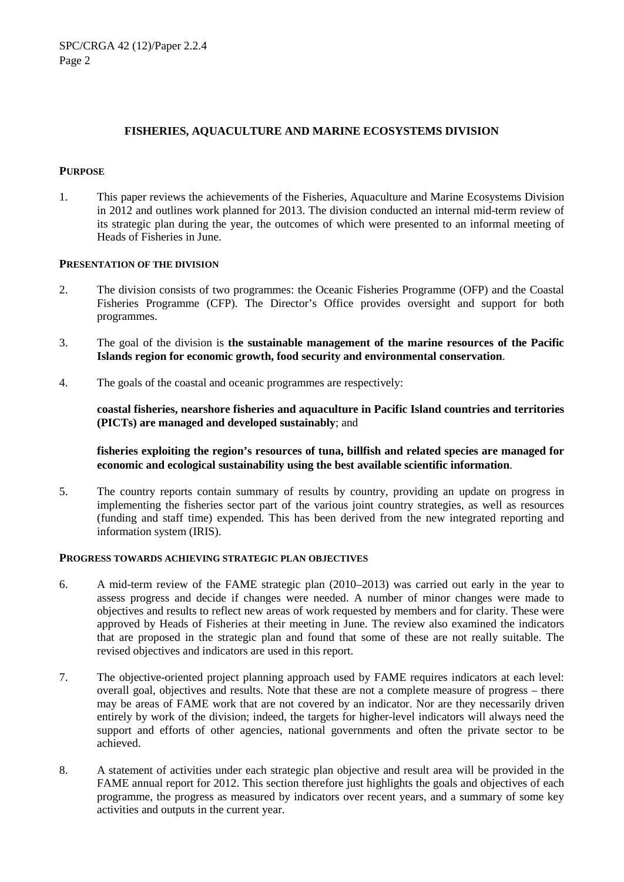### **FISHERIES, AQUACULTURE AND MARINE ECOSYSTEMS DIVISION**

#### **PURPOSE**

1. This paper reviews the achievements of the Fisheries, Aquaculture and Marine Ecosystems Division in 2012 and outlines work planned for 2013. The division conducted an internal mid-term review of its strategic plan during the year, the outcomes of which were presented to an informal meeting of Heads of Fisheries in June.

#### **PRESENTATION OF THE DIVISION**

- 2. The division consists of two programmes: the Oceanic Fisheries Programme (OFP) and the Coastal Fisheries Programme (CFP). The Director's Office provides oversight and support for both programmes.
- 3. The goal of the division is **the sustainable management of the marine resources of the Pacific Islands region for economic growth, food security and environmental conservation**.
- 4. The goals of the coastal and oceanic programmes are respectively:

**coastal fisheries, nearshore fisheries and aquaculture in Pacific Island countries and territories (PICTs) are managed and developed sustainably**; and

**fisheries exploiting the region's resources of tuna, billfish and related species are managed for economic and ecological sustainability using the best available scientific information**.

5. The country reports contain summary of results by country, providing an update on progress in implementing the fisheries sector part of the various joint country strategies, as well as resources (funding and staff time) expended. This has been derived from the new integrated reporting and information system (IRIS).

#### **PROGRESS TOWARDS ACHIEVING STRATEGIC PLAN OBJECTIVES**

- 6. A mid-term review of the FAME strategic plan (2010–2013) was carried out early in the year to assess progress and decide if changes were needed. A number of minor changes were made to objectives and results to reflect new areas of work requested by members and for clarity. These were approved by Heads of Fisheries at their meeting in June. The review also examined the indicators that are proposed in the strategic plan and found that some of these are not really suitable. The revised objectives and indicators are used in this report.
- 7. The objective-oriented project planning approach used by FAME requires indicators at each level: overall goal, objectives and results. Note that these are not a complete measure of progress – there may be areas of FAME work that are not covered by an indicator. Nor are they necessarily driven entirely by work of the division; indeed, the targets for higher-level indicators will always need the support and efforts of other agencies, national governments and often the private sector to be achieved.
- 8. A statement of activities under each strategic plan objective and result area will be provided in the FAME annual report for 2012. This section therefore just highlights the goals and objectives of each programme, the progress as measured by indicators over recent years, and a summary of some key activities and outputs in the current year.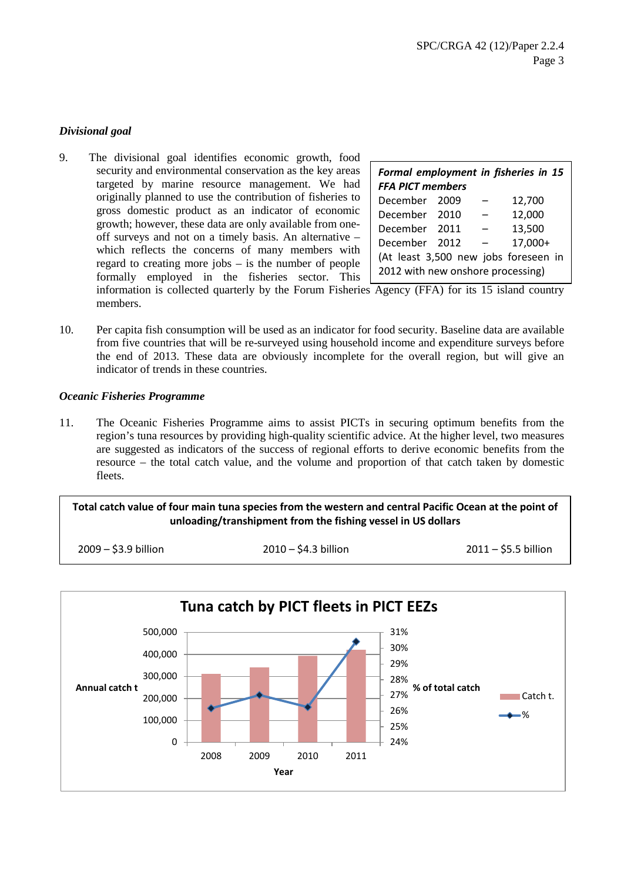## *Divisional goal*

9. The divisional goal identifies economic growth, food security and environmental conservation as the key areas targeted by marine resource management. We had originally planned to use the contribution of fisheries to gross domestic product as an indicator of economic growth; however, these data are only available from oneoff surveys and not on a timely basis. An alternative – which reflects the concerns of many members with regard to creating more jobs – is the number of people formally employed in the fisheries sector. This

| Formal employment in fisheries in 15<br><b>FFA PICT members</b> |  |  |         |  |  |
|-----------------------------------------------------------------|--|--|---------|--|--|
| December 2009                                                   |  |  | 12,700  |  |  |
| December 2010                                                   |  |  | 12,000  |  |  |
| December 2011                                                   |  |  | 13,500  |  |  |
| December 2012                                                   |  |  | 17,000+ |  |  |
| (At least 3,500 new jobs foreseen in                            |  |  |         |  |  |
| 2012 with new onshore processing)                               |  |  |         |  |  |

information is collected quarterly by the Forum Fisheries Agency (FFA) for its 15 island country members.

10. Per capita fish consumption will be used as an indicator for food security. Baseline data are available from five countries that will be re-surveyed using household income and expenditure surveys before the end of 2013. These data are obviously incomplete for the overall region, but will give an indicator of trends in these countries.

### *Oceanic Fisheries Programme*

11. The Oceanic Fisheries Programme aims to assist PICTs in securing optimum benefits from the region's tuna resources by providing high-quality scientific advice. At the higher level, two measures are suggested as indicators of the success of regional efforts to derive economic benefits from the resource – the total catch value, and the volume and proportion of that catch taken by domestic fleets.

## **Total catch value of four main tuna species from the western and central Pacific Ocean at the point of unloading/transhipment from the fishing vessel in US dollars**

2009 – \$3.9 billion 2010 – \$4.3 billion 2011 – \$5.5 billion

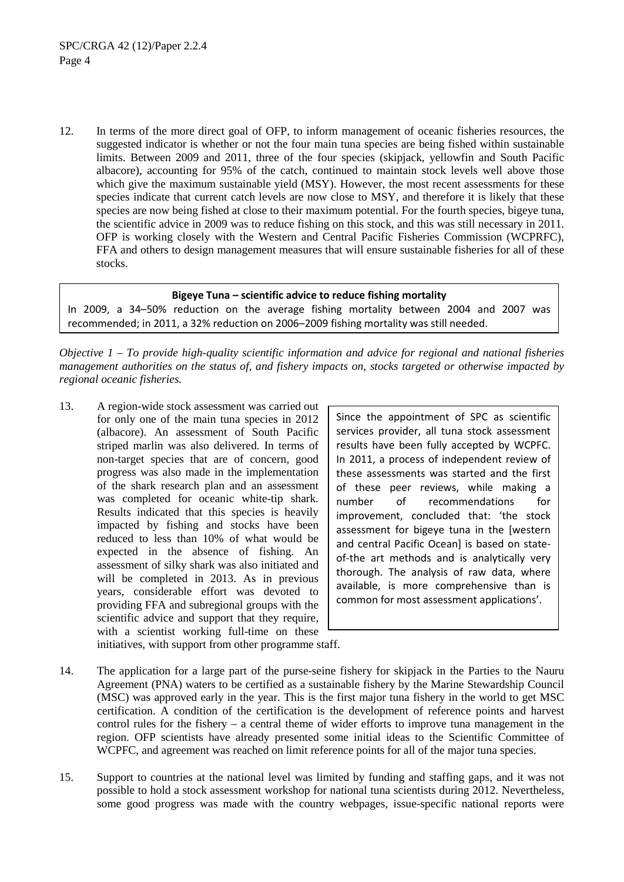12. In terms of the more direct goal of OFP, to inform management of oceanic fisheries resources, the suggested indicator is whether or not the four main tuna species are being fished within sustainable limits. Between 2009 and 2011, three of the four species (skipjack, yellowfin and South Pacific albacore), accounting for 95% of the catch, continued to maintain stock levels well above those which give the maximum sustainable yield (MSY). However, the most recent assessments for these species indicate that current catch levels are now close to MSY, and therefore it is likely that these species are now being fished at close to their maximum potential. For the fourth species, bigeye tuna, the scientific advice in 2009 was to reduce fishing on this stock, and this was still necessary in 2011. OFP is working closely with the Western and Central Pacific Fisheries Commission (WCPRFC), FFA and others to design management measures that will ensure sustainable fisheries for all of these stocks.

## **Bigeye Tuna – scientific advice to reduce fishing mortality**

In 2009, a 34–50% reduction on the average fishing mortality between 2004 and 2007 was recommended; in 2011, a 32% reduction on 2006–2009 fishing mortality was still needed.

*Objective 1 – To provide high-quality scientific information and advice for regional and national fisheries management authorities on the status of, and fishery impacts on, stocks targeted or otherwise impacted by regional oceanic fisheries.*

13. A region-wide stock assessment was carried out for only one of the main tuna species in 2012 (albacore). An assessment of South Pacific striped marlin was also delivered. In terms of non-target species that are of concern, good progress was also made in the implementation of the shark research plan and an assessment was completed for oceanic white-tip shark. Results indicated that this species is heavily impacted by fishing and stocks have been reduced to less than 10% of what would be expected in the absence of fishing. An assessment of silky shark was also initiated and will be completed in 2013. As in previous years, considerable effort was devoted to providing FFA and subregional groups with the scientific advice and support that they require, with a scientist working full-time on these initiatives, with support from other programme staff.

Since the appointment of SPC as scientific services provider, all tuna stock assessment results have been fully accepted by WCPFC. In 2011, a process of independent review of these assessments was started and the first of these peer reviews, while making a number of recommendations for improvement, concluded that: 'the stock assessment for bigeye tuna in the [western and central Pacific Ocean] is based on stateof-the art methods and is analytically very thorough. The analysis of raw data, where available, is more comprehensive than is common for most assessment applications'.

- 14. The application for a large part of the purse-seine fishery for skipjack in the Parties to the Nauru Agreement (PNA) waters to be certified as a sustainable fishery by the Marine Stewardship Council (MSC) was approved early in the year. This is the first major tuna fishery in the world to get MSC certification. A condition of the certification is the development of reference points and harvest control rules for the fishery – a central theme of wider efforts to improve tuna management in the region. OFP scientists have already presented some initial ideas to the Scientific Committee of WCPFC, and agreement was reached on limit reference points for all of the major tuna species.
- 15. Support to countries at the national level was limited by funding and staffing gaps, and it was not possible to hold a stock assessment workshop for national tuna scientists during 2012. Nevertheless, some good progress was made with the country webpages, issue-specific national reports were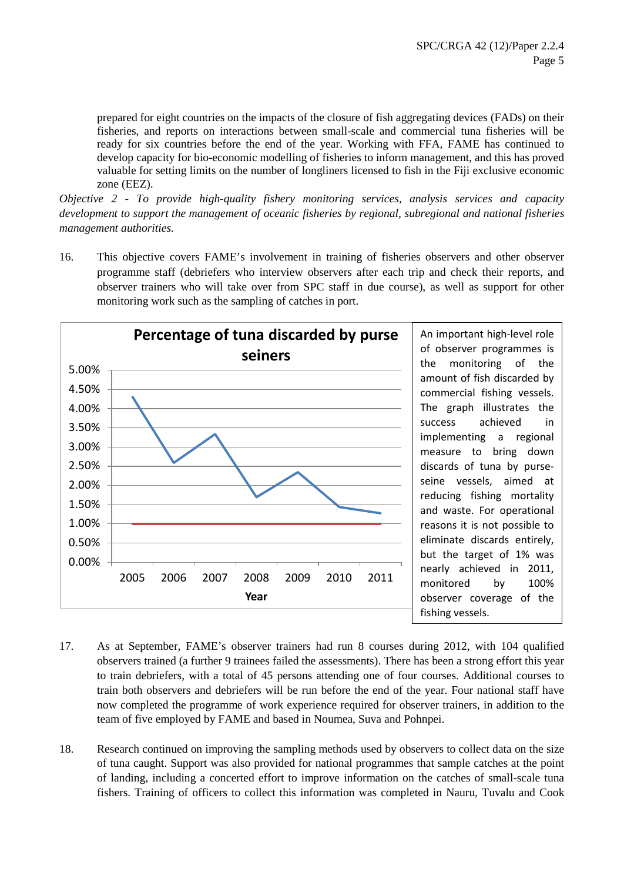prepared for eight countries on the impacts of the closure of fish aggregating devices (FADs) on their fisheries, and reports on interactions between small-scale and commercial tuna fisheries will be ready for six countries before the end of the year. Working with FFA, FAME has continued to develop capacity for bio-economic modelling of fisheries to inform management, and this has proved valuable for setting limits on the number of longliners licensed to fish in the Fiji exclusive economic zone (EEZ).

*Objective 2 - To provide high-quality fishery monitoring services, analysis services and capacity development to support the management of oceanic fisheries by regional, subregional and national fisheries management authorities.*

16. This objective covers FAME's involvement in training of fisheries observers and other observer programme staff (debriefers who interview observers after each trip and check their reports, and observer trainers who will take over from SPC staff in due course), as well as support for other monitoring work such as the sampling of catches in port.



- 17. As at September, FAME's observer trainers had run 8 courses during 2012, with 104 qualified observers trained (a further 9 trainees failed the assessments). There has been a strong effort this year to train debriefers, with a total of 45 persons attending one of four courses. Additional courses to train both observers and debriefers will be run before the end of the year. Four national staff have now completed the programme of work experience required for observer trainers, in addition to the team of five employed by FAME and based in Noumea, Suva and Pohnpei.
- 18. Research continued on improving the sampling methods used by observers to collect data on the size of tuna caught. Support was also provided for national programmes that sample catches at the point of landing, including a concerted effort to improve information on the catches of small-scale tuna fishers. Training of officers to collect this information was completed in Nauru, Tuvalu and Cook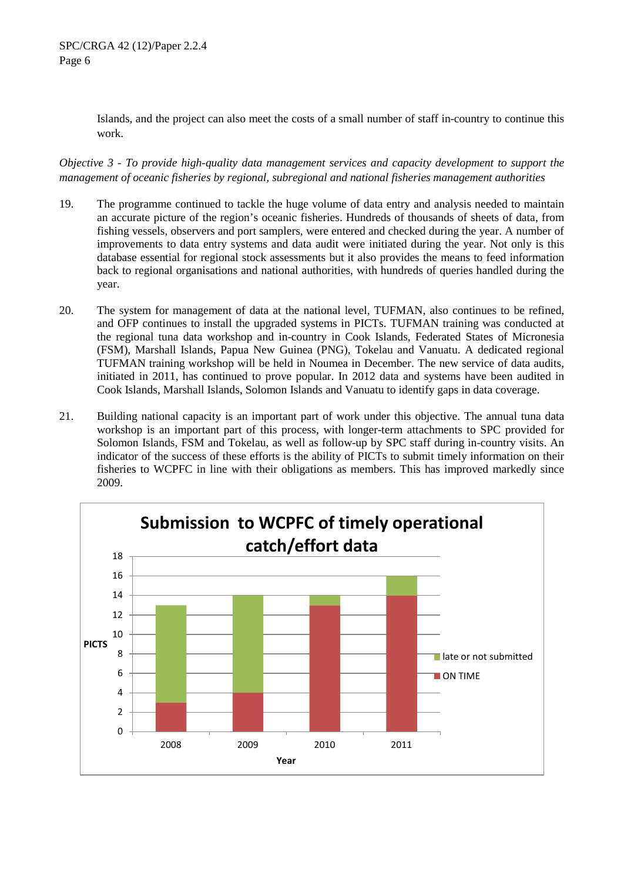Islands, and the project can also meet the costs of a small number of staff in-country to continue this work.

*Objective 3 - To provide high-quality data management services and capacity development to support the management of oceanic fisheries by regional, subregional and national fisheries management authorities*

- 19. The programme continued to tackle the huge volume of data entry and analysis needed to maintain an accurate picture of the region's oceanic fisheries. Hundreds of thousands of sheets of data, from fishing vessels, observers and port samplers, were entered and checked during the year. A number of improvements to data entry systems and data audit were initiated during the year. Not only is this database essential for regional stock assessments but it also provides the means to feed information back to regional organisations and national authorities, with hundreds of queries handled during the year.
- 20. The system for management of data at the national level, TUFMAN, also continues to be refined, and OFP continues to install the upgraded systems in PICTs. TUFMAN training was conducted at the regional tuna data workshop and in-country in Cook Islands, Federated States of Micronesia (FSM), Marshall Islands, Papua New Guinea (PNG), Tokelau and Vanuatu. A dedicated regional TUFMAN training workshop will be held in Noumea in December. The new service of data audits, initiated in 2011, has continued to prove popular. In 2012 data and systems have been audited in Cook Islands, Marshall Islands, Solomon Islands and Vanuatu to identify gaps in data coverage.
- 21. Building national capacity is an important part of work under this objective. The annual tuna data workshop is an important part of this process, with longer-term attachments to SPC provided for Solomon Islands, FSM and Tokelau, as well as follow-up by SPC staff during in-country visits. An indicator of the success of these efforts is the ability of PICTs to submit timely information on their fisheries to WCPFC in line with their obligations as members. This has improved markedly since 2009.

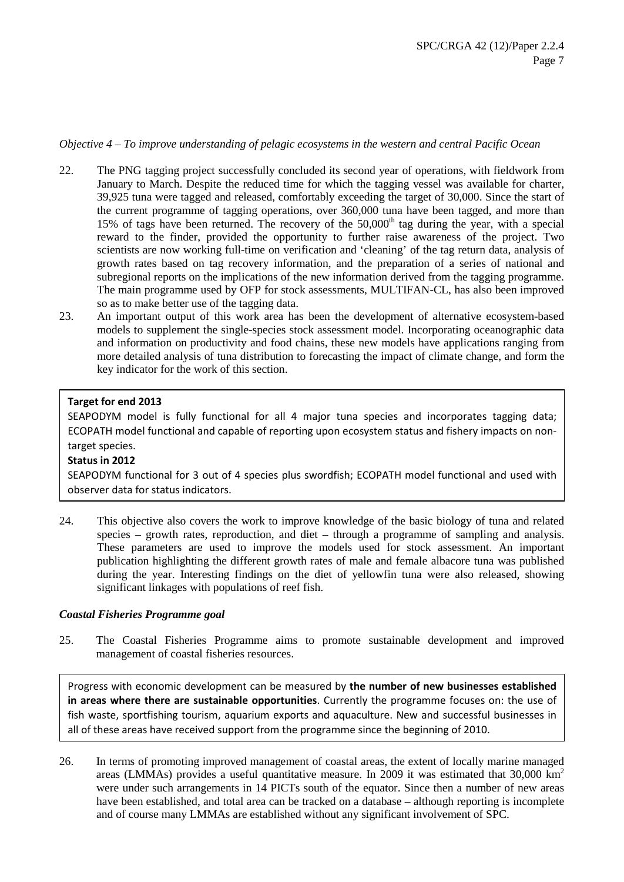#### *Objective 4 – To improve understanding of pelagic ecosystems in the western and central Pacific Ocean*

- 22. The PNG tagging project successfully concluded its second year of operations, with fieldwork from January to March. Despite the reduced time for which the tagging vessel was available for charter, 39,925 tuna were tagged and released, comfortably exceeding the target of 30,000. Since the start of the current programme of tagging operations, over 360,000 tuna have been tagged, and more than 15% of tags have been returned. The recovery of the  $50,000<sup>th</sup>$  tag during the year, with a special reward to the finder, provided the opportunity to further raise awareness of the project. Two scientists are now working full-time on verification and 'cleaning' of the tag return data, analysis of growth rates based on tag recovery information, and the preparation of a series of national and subregional reports on the implications of the new information derived from the tagging programme. The main programme used by OFP for stock assessments, MULTIFAN-CL, has also been improved so as to make better use of the tagging data.
- 23. An important output of this work area has been the development of alternative ecosystem-based models to supplement the single-species stock assessment model. Incorporating oceanographic data and information on productivity and food chains, these new models have applications ranging from more detailed analysis of tuna distribution to forecasting the impact of climate change, and form the key indicator for the work of this section.

### **Target for end 2013**

SEAPODYM model is fully functional for all 4 major tuna species and incorporates tagging data; ECOPATH model functional and capable of reporting upon ecosystem status and fishery impacts on nontarget species.

### **Status in 2012**

SEAPODYM functional for 3 out of 4 species plus swordfish; ECOPATH model functional and used with observer data for status indicators.

24. This objective also covers the work to improve knowledge of the basic biology of tuna and related species – growth rates, reproduction, and diet – through a programme of sampling and analysis. These parameters are used to improve the models used for stock assessment. An important publication highlighting the different growth rates of male and female albacore tuna was published during the year. Interesting findings on the diet of yellowfin tuna were also released, showing significant linkages with populations of reef fish.

### *Coastal Fisheries Programme goal*

25. The Coastal Fisheries Programme aims to promote sustainable development and improved management of coastal fisheries resources.

Progress with economic development can be measured by **the number of new businesses established in areas where there are sustainable opportunities**. Currently the programme focuses on: the use of fish waste, sportfishing tourism, aquarium exports and aquaculture. New and successful businesses in all of these areas have received support from the programme since the beginning of 2010.

26. In terms of promoting improved management of coastal areas, the extent of locally marine managed areas (LMMAs) provides a useful quantitative measure. In 2009 it was estimated that  $30,000 \text{ km}^2$ were under such arrangements in 14 PICTs south of the equator. Since then a number of new areas have been established, and total area can be tracked on a database – although reporting is incomplete and of course many LMMAs are established without any significant involvement of SPC.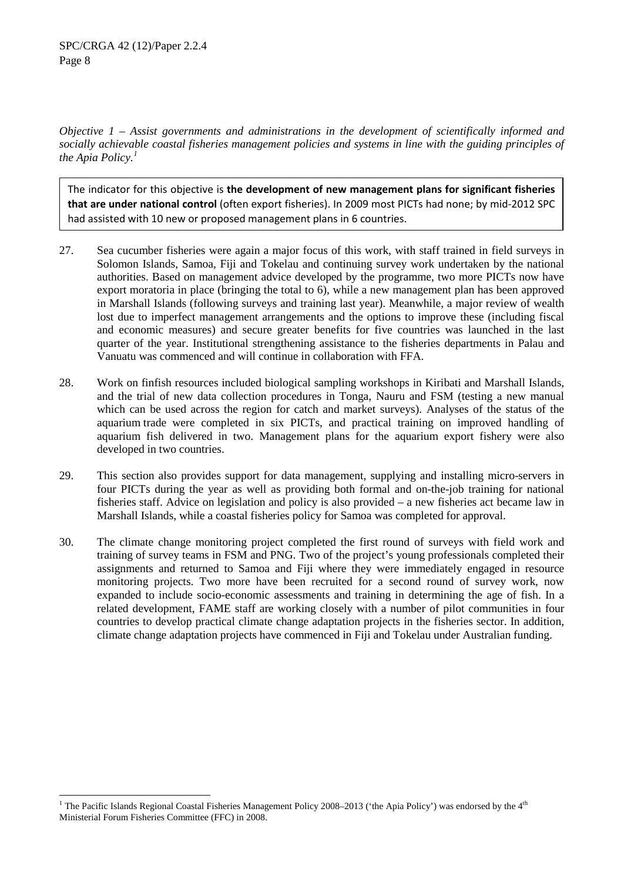*Objective 1 – Assist governments and administrations in the development of scientifically informed and socially achievable coastal fisheries management policies and systems in line with the guiding principles of the Apia Policy.[1](#page-7-0)*

The indicator for this objective is **the development of new management plans for significant fisheries that are under national control** (often export fisheries). In 2009 most PICTs had none; by mid-2012 SPC had assisted with 10 new or proposed management plans in 6 countries.

- 27. Sea cucumber fisheries were again a major focus of this work, with staff trained in field surveys in Solomon Islands, Samoa, Fiji and Tokelau and continuing survey work undertaken by the national authorities. Based on management advice developed by the programme, two more PICTs now have export moratoria in place (bringing the total to 6), while a new management plan has been approved in Marshall Islands (following surveys and training last year). Meanwhile, a major review of wealth lost due to imperfect management arrangements and the options to improve these (including fiscal and economic measures) and secure greater benefits for five countries was launched in the last quarter of the year. Institutional strengthening assistance to the fisheries departments in Palau and Vanuatu was commenced and will continue in collaboration with FFA.
- 28. Work on finfish resources included biological sampling workshops in Kiribati and Marshall Islands, and the trial of new data collection procedures in Tonga, Nauru and FSM (testing a new manual which can be used across the region for catch and market surveys). Analyses of the status of the aquarium trade were completed in six PICTs, and practical training on improved handling of aquarium fish delivered in two. Management plans for the aquarium export fishery were also developed in two countries.
- 29. This section also provides support for data management, supplying and installing micro-servers in four PICTs during the year as well as providing both formal and on-the-job training for national fisheries staff. Advice on legislation and policy is also provided – a new fisheries act became law in Marshall Islands, while a coastal fisheries policy for Samoa was completed for approval.
- 30. The climate change monitoring project completed the first round of surveys with field work and training of survey teams in FSM and PNG. Two of the project's young professionals completed their assignments and returned to Samoa and Fiji where they were immediately engaged in resource monitoring projects. Two more have been recruited for a second round of survey work, now expanded to include socio-economic assessments and training in determining the age of fish. In a related development, FAME staff are working closely with a number of pilot communities in four countries to develop practical climate change adaptation projects in the fisheries sector. In addition, climate change adaptation projects have commenced in Fiji and Tokelau under Australian funding.

<span id="page-7-0"></span>The Pacific Islands Regional Coastal Fisheries Management Policy 2008–2013 ('the Apia Policy') was endorsed by the 4<sup>th</sup> Ministerial Forum Fisheries Committee (FFC) in 2008.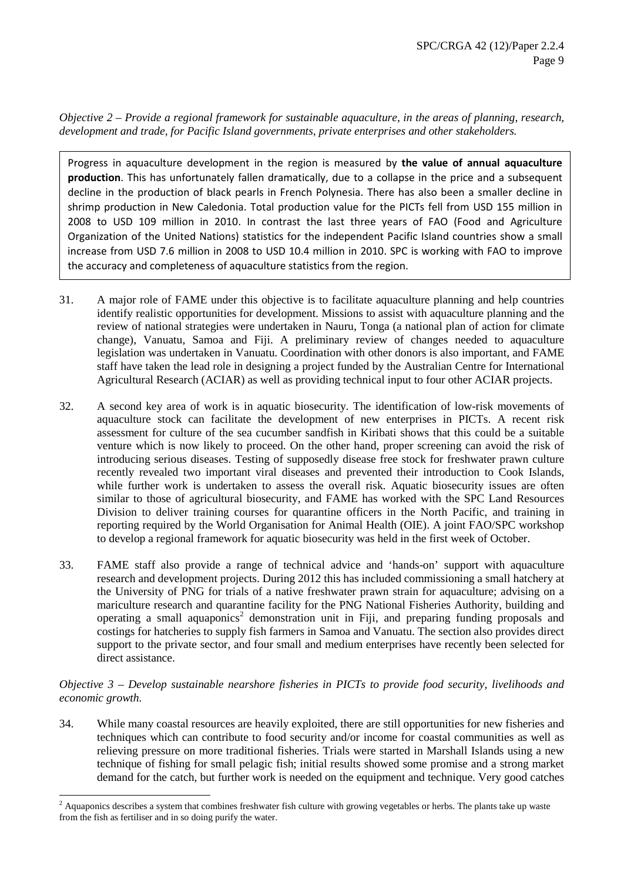*Objective 2 – Provide a regional framework for sustainable aquaculture, in the areas of planning, research, development and trade, for Pacific Island governments, private enterprises and other stakeholders.*

Progress in aquaculture development in the region is measured by **the value of annual aquaculture production**. This has unfortunately fallen dramatically, due to a collapse in the price and a subsequent decline in the production of black pearls in French Polynesia. There has also been a smaller decline in shrimp production in New Caledonia. Total production value for the PICTs fell from USD 155 million in 2008 to USD 109 million in 2010. In contrast the last three years of FAO (Food and Agriculture Organization of the United Nations) statistics for the independent Pacific Island countries show a small increase from USD 7.6 million in 2008 to USD 10.4 million in 2010. SPC is working with FAO to improve the accuracy and completeness of aquaculture statistics from the region.

- 31. A major role of FAME under this objective is to facilitate aquaculture planning and help countries identify realistic opportunities for development. Missions to assist with aquaculture planning and the review of national strategies were undertaken in Nauru, Tonga (a national plan of action for climate change), Vanuatu, Samoa and Fiji. A preliminary review of changes needed to aquaculture legislation was undertaken in Vanuatu. Coordination with other donors is also important, and FAME staff have taken the lead role in designing a project funded by the Australian Centre for International Agricultural Research (ACIAR) as well as providing technical input to four other ACIAR projects.
- 32. A second key area of work is in aquatic biosecurity. The identification of low-risk movements of aquaculture stock can facilitate the development of new enterprises in PICTs. A recent risk assessment for culture of the sea cucumber sandfish in Kiribati shows that this could be a suitable venture which is now likely to proceed. On the other hand, proper screening can avoid the risk of introducing serious diseases. Testing of supposedly disease free stock for freshwater prawn culture recently revealed two important viral diseases and prevented their introduction to Cook Islands, while further work is undertaken to assess the overall risk. Aquatic biosecurity issues are often similar to those of agricultural biosecurity, and FAME has worked with the SPC Land Resources Division to deliver training courses for quarantine officers in the North Pacific, and training in reporting required by the World Organisation for Animal Health (OIE). A joint FAO/SPC workshop to develop a regional framework for aquatic biosecurity was held in the first week of October.
- 33. FAME staff also provide a range of technical advice and 'hands-on' support with aquaculture research and development projects. During 2012 this has included commissioning a small hatchery at the University of PNG for trials of a native freshwater prawn strain for aquaculture; advising on a mariculture research and quarantine facility for the PNG National Fisheries Authority, building and operating a small aquaponics<sup>[2](#page-8-0)</sup> demonstration unit in Fiji, and preparing funding proposals and costings for hatcheries to supply fish farmers in Samoa and Vanuatu. The section also provides direct support to the private sector, and four small and medium enterprises have recently been selected for direct assistance.

### *Objective 3 – Develop sustainable nearshore fisheries in PICTs to provide food security, livelihoods and economic growth.*

34. While many coastal resources are heavily exploited, there are still opportunities for new fisheries and techniques which can contribute to food security and/or income for coastal communities as well as relieving pressure on more traditional fisheries. Trials were started in Marshall Islands using a new technique of fishing for small pelagic fish; initial results showed some promise and a strong market demand for the catch, but further work is needed on the equipment and technique. Very good catches

<span id="page-8-0"></span> <sup>2</sup> Aquaponics describes a system that combines freshwater fish culture with growing vegetables or herbs. The plants take up waste from the fish as fertiliser and in so doing purify the water.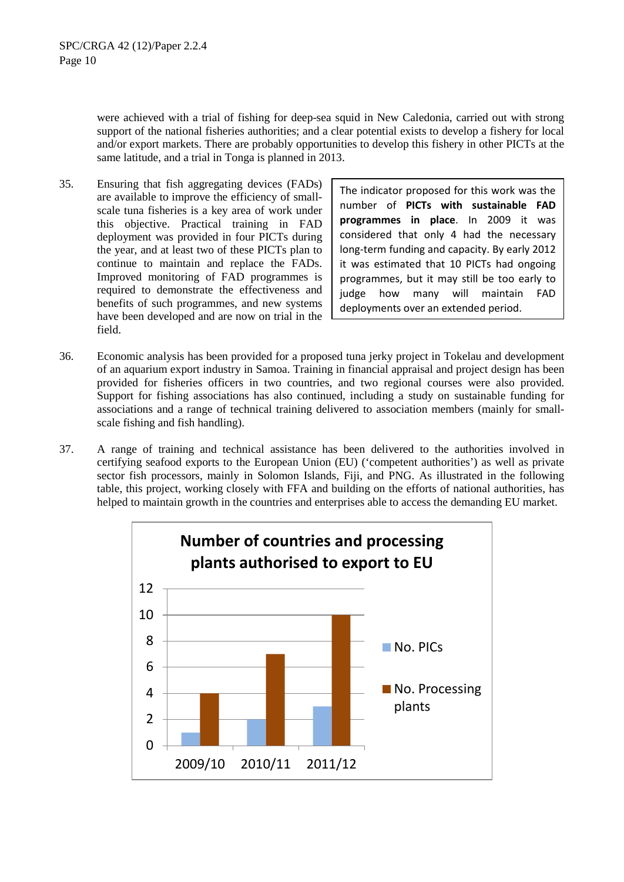were achieved with a trial of fishing for deep-sea squid in New Caledonia, carried out with strong support of the national fisheries authorities; and a clear potential exists to develop a fishery for local and/or export markets. There are probably opportunities to develop this fishery in other PICTs at the same latitude, and a trial in Tonga is planned in 2013.

35. Ensuring that fish aggregating devices (FADs) are available to improve the efficiency of smallscale tuna fisheries is a key area of work under this objective. Practical training in FAD deployment was provided in four PICTs during the year, and at least two of these PICTs plan to continue to maintain and replace the FADs. Improved monitoring of FAD programmes is required to demonstrate the effectiveness and benefits of such programmes, and new systems have been developed and are now on trial in the field.

The indicator proposed for this work was the number of **PICTs with sustainable FAD programmes in place**. In 2009 it was considered that only 4 had the necessary long-term funding and capacity. By early 2012 it was estimated that 10 PICTs had ongoing programmes, but it may still be too early to judge how many will maintain FAD deployments over an extended period.

- 36. Economic analysis has been provided for a proposed tuna jerky project in Tokelau and development of an aquarium export industry in Samoa. Training in financial appraisal and project design has been provided for fisheries officers in two countries, and two regional courses were also provided. Support for fishing associations has also continued, including a study on sustainable funding for associations and a range of technical training delivered to association members (mainly for smallscale fishing and fish handling).
- 37. A range of training and technical assistance has been delivered to the authorities involved in certifying seafood exports to the European Union (EU) ('competent authorities') as well as private sector fish processors, mainly in Solomon Islands, Fiji, and PNG. As illustrated in the following table, this project, working closely with FFA and building on the efforts of national authorities, has helped to maintain growth in the countries and enterprises able to access the demanding EU market.

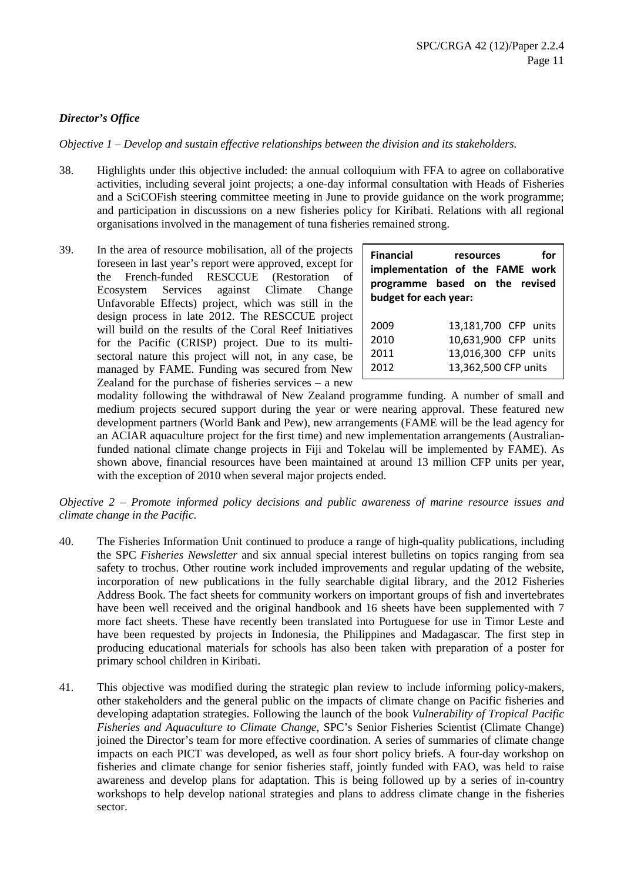## *Director's Office*

*Objective 1 – Develop and sustain effective relationships between the division and its stakeholders.*

- 38. Highlights under this objective included: the annual colloquium with FFA to agree on collaborative activities, including several joint projects; a one-day informal consultation with Heads of Fisheries and a SciCOFish steering committee meeting in June to provide guidance on the work programme; and participation in discussions on a new fisheries policy for Kiribati. Relations with all regional organisations involved in the management of tuna fisheries remained strong.
- 39. In the area of resource mobilisation, all of the projects foreseen in last year's report were approved, except for the French-funded RESCCUE (Restoration of Ecosystem Services against Climate Change Unfavorable Effects) project, which was still in the design process in late 2012. The RESCCUE project will build on the results of the Coral Reef Initiatives for the Pacific (CRISP) project. Due to its multisectoral nature this project will not, in any case, be managed by FAME. Funding was secured from New Zealand for the purchase of fisheries services – a new

| <b>Financial</b><br>budget for each year: | for<br>resources<br>implementation of the FAME work<br>programme based on the revised |
|-------------------------------------------|---------------------------------------------------------------------------------------|
| 2009                                      | 13,181,700 CFP units                                                                  |
| 2010                                      | 10,631,900 CFP units                                                                  |
| 2011                                      | 13,016,300 CFP units                                                                  |
| 2012                                      | 13,362,500 CFP units                                                                  |

modality following the withdrawal of New Zealand programme funding. A number of small and medium projects secured support during the year or were nearing approval. These featured new development partners (World Bank and Pew), new arrangements (FAME will be the lead agency for an ACIAR aquaculture project for the first time) and new implementation arrangements (Australianfunded national climate change projects in Fiji and Tokelau will be implemented by FAME). As shown above, financial resources have been maintained at around 13 million CFP units per year, with the exception of 2010 when several major projects ended.

*Objective 2 – Promote informed policy decisions and public awareness of marine resource issues and climate change in the Pacific.*

- 40. The Fisheries Information Unit continued to produce a range of high-quality publications, including the SPC *Fisheries Newsletter* and six annual special interest bulletins on topics ranging from sea safety to trochus. Other routine work included improvements and regular updating of the website, incorporation of new publications in the fully searchable digital library, and the 2012 Fisheries Address Book. The fact sheets for community workers on important groups of fish and invertebrates have been well received and the original handbook and 16 sheets have been supplemented with 7 more fact sheets. These have recently been translated into Portuguese for use in Timor Leste and have been requested by projects in Indonesia, the Philippines and Madagascar. The first step in producing educational materials for schools has also been taken with preparation of a poster for primary school children in Kiribati.
- 41. This objective was modified during the strategic plan review to include informing policy-makers, other stakeholders and the general public on the impacts of climate change on Pacific fisheries and developing adaptation strategies. Following the launch of the book *Vulnerability of Tropical Pacific Fisheries and Aquaculture to Climate Change,* SPC's Senior Fisheries Scientist (Climate Change) joined the Director's team for more effective coordination. A series of summaries of climate change impacts on each PICT was developed, as well as four short policy briefs. A four-day workshop on fisheries and climate change for senior fisheries staff, jointly funded with FAO, was held to raise awareness and develop plans for adaptation. This is being followed up by a series of in-country workshops to help develop national strategies and plans to address climate change in the fisheries sector.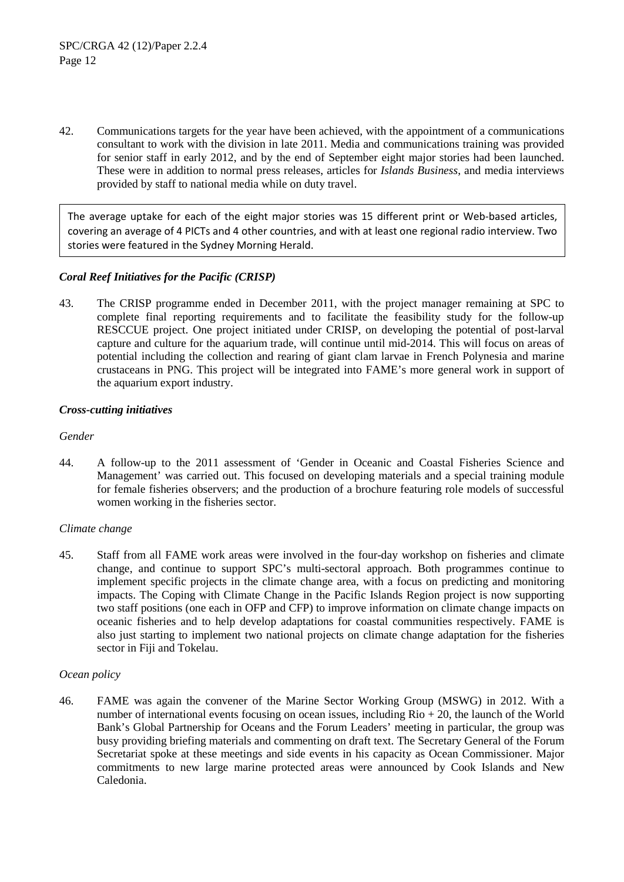42. Communications targets for the year have been achieved, with the appointment of a communications consultant to work with the division in late 2011. Media and communications training was provided for senior staff in early 2012, and by the end of September eight major stories had been launched. These were in addition to normal press releases, articles for *Islands Business*, and media interviews provided by staff to national media while on duty travel.

The average uptake for each of the eight major stories was 15 different print or Web-based articles, covering an average of 4 PICTs and 4 other countries, and with at least one regional radio interview. Two stories were featured in the Sydney Morning Herald.

## *Coral Reef Initiatives for the Pacific (CRISP)*

43. The CRISP programme ended in December 2011, with the project manager remaining at SPC to complete final reporting requirements and to facilitate the feasibility study for the follow-up RESCCUE project. One project initiated under CRISP, on developing the potential of post-larval capture and culture for the aquarium trade, will continue until mid-2014. This will focus on areas of potential including the collection and rearing of giant clam larvae in French Polynesia and marine crustaceans in PNG. This project will be integrated into FAME's more general work in support of the aquarium export industry.

## *Cross-cutting initiatives*

### *Gender*

44. A follow-up to the 2011 assessment of 'Gender in Oceanic and Coastal Fisheries Science and Management' was carried out. This focused on developing materials and a special training module for female fisheries observers; and the production of a brochure featuring role models of successful women working in the fisheries sector.

## *Climate change*

45. Staff from all FAME work areas were involved in the four-day workshop on fisheries and climate change, and continue to support SPC's multi-sectoral approach. Both programmes continue to implement specific projects in the climate change area, with a focus on predicting and monitoring impacts. The Coping with Climate Change in the Pacific Islands Region project is now supporting two staff positions (one each in OFP and CFP) to improve information on climate change impacts on oceanic fisheries and to help develop adaptations for coastal communities respectively. FAME is also just starting to implement two national projects on climate change adaptation for the fisheries sector in Fiji and Tokelau.

### *Ocean policy*

46. FAME was again the convener of the Marine Sector Working Group (MSWG) in 2012. With a number of international events focusing on ocean issues, including  $\mathrm{Rio} + 20$ , the launch of the World Bank's Global Partnership for Oceans and the Forum Leaders' meeting in particular, the group was busy providing briefing materials and commenting on draft text. The Secretary General of the Forum Secretariat spoke at these meetings and side events in his capacity as Ocean Commissioner. Major commitments to new large marine protected areas were announced by Cook Islands and New Caledonia.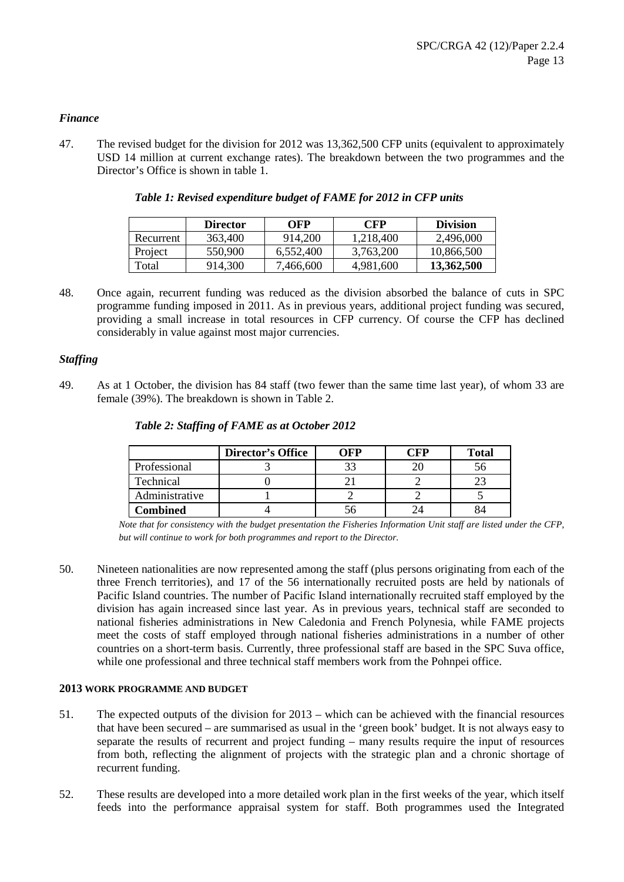### *Finance*

47. The revised budget for the division for 2012 was 13,362,500 CFP units (equivalent to approximately USD 14 million at current exchange rates). The breakdown between the two programmes and the Director's Office is shown in table 1.

|           | <b>Director</b> | OFP       | CFP       | <b>Division</b> |
|-----------|-----------------|-----------|-----------|-----------------|
| Recurrent | 363,400         | 914.200   | 1,218,400 | 2,496,000       |
| Project   | 550,900         | 6.552.400 | 3,763,200 | 10,866,500      |
| Total     | 914,300         | 7,466,600 | 4,981,600 | 13,362,500      |

| Table 1: Revised expenditure budget of FAME for 2012 in CFP units |  |  |  |
|-------------------------------------------------------------------|--|--|--|
|                                                                   |  |  |  |

48. Once again, recurrent funding was reduced as the division absorbed the balance of cuts in SPC programme funding imposed in 2011. As in previous years, additional project funding was secured, providing a small increase in total resources in CFP currency. Of course the CFP has declined considerably in value against most major currencies.

### *Staffing*

49. As at 1 October, the division has 84 staff (two fewer than the same time last year), of whom 33 are female (39%). The breakdown is shown in Table 2.

|                | <b>Director's Office</b> | OFP | `FP | <b>Total</b> |
|----------------|--------------------------|-----|-----|--------------|
| Professional   |                          |     |     |              |
| Technical      |                          |     |     |              |
| Administrative |                          |     |     |              |
| Combined       |                          |     |     |              |

#### *Table 2: Staffing of FAME as at October 2012*

*Note that for consistency with the budget presentation the Fisheries Information Unit staff are listed under the CFP, but will continue to work for both programmes and report to the Director.*

50. Nineteen nationalities are now represented among the staff (plus persons originating from each of the three French territories), and 17 of the 56 internationally recruited posts are held by nationals of Pacific Island countries. The number of Pacific Island internationally recruited staff employed by the division has again increased since last year. As in previous years, technical staff are seconded to national fisheries administrations in New Caledonia and French Polynesia, while FAME projects meet the costs of staff employed through national fisheries administrations in a number of other countries on a short-term basis. Currently, three professional staff are based in the SPC Suva office, while one professional and three technical staff members work from the Pohnpei office.

#### **2013 WORK PROGRAMME AND BUDGET**

- 51. The expected outputs of the division for 2013 which can be achieved with the financial resources that have been secured – are summarised as usual in the 'green book' budget. It is not always easy to separate the results of recurrent and project funding – many results require the input of resources from both, reflecting the alignment of projects with the strategic plan and a chronic shortage of recurrent funding.
- 52. These results are developed into a more detailed work plan in the first weeks of the year, which itself feeds into the performance appraisal system for staff. Both programmes used the Integrated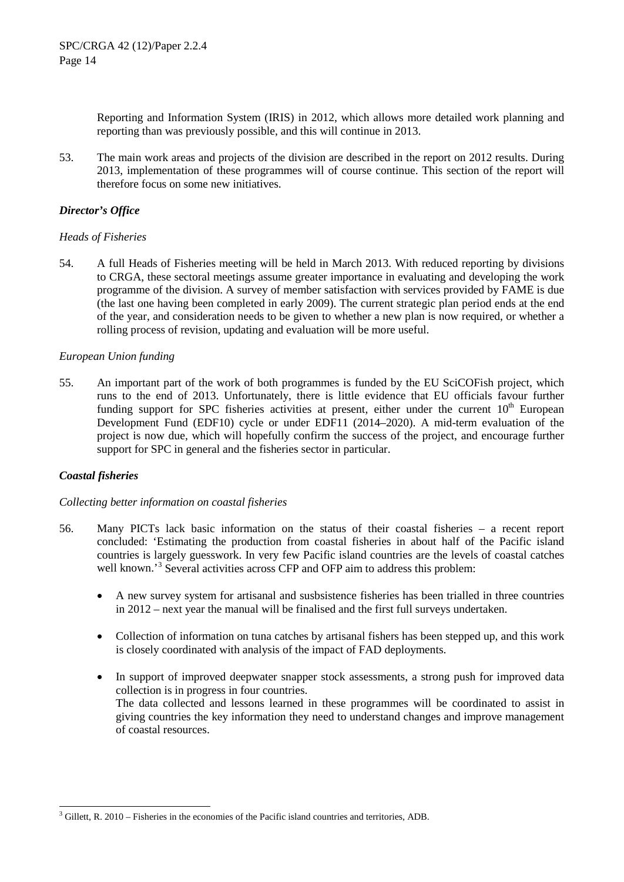Reporting and Information System (IRIS) in 2012, which allows more detailed work planning and reporting than was previously possible, and this will continue in 2013.

53. The main work areas and projects of the division are described in the report on 2012 results. During 2013, implementation of these programmes will of course continue. This section of the report will therefore focus on some new initiatives.

## *Director's Office*

### *Heads of Fisheries*

54. A full Heads of Fisheries meeting will be held in March 2013. With reduced reporting by divisions to CRGA, these sectoral meetings assume greater importance in evaluating and developing the work programme of the division. A survey of member satisfaction with services provided by FAME is due (the last one having been completed in early 2009). The current strategic plan period ends at the end of the year, and consideration needs to be given to whether a new plan is now required, or whether a rolling process of revision, updating and evaluation will be more useful.

### *European Union funding*

55. An important part of the work of both programmes is funded by the EU SciCOFish project, which runs to the end of 2013. Unfortunately, there is little evidence that EU officials favour further funding support for SPC fisheries activities at present, either under the current  $10<sup>th</sup>$  European Development Fund (EDF10) cycle or under EDF11 (2014–2020). A mid-term evaluation of the project is now due, which will hopefully confirm the success of the project, and encourage further support for SPC in general and the fisheries sector in particular.

### *Coastal fisheries*

### *Collecting better information on coastal fisheries*

- 56. Many PICTs lack basic information on the status of their coastal fisheries a recent report concluded: 'Estimating the production from coastal fisheries in about half of the Pacific island countries is largely guesswork. In very few Pacific island countries are the levels of coastal catches well known.<sup>[3](#page-13-0)</sup> Several activities across CFP and OFP aim to address this problem:
	- A new survey system for artisanal and susbsistence fisheries has been trialled in three countries in 2012 – next year the manual will be finalised and the first full surveys undertaken.
	- Collection of information on tuna catches by artisanal fishers has been stepped up, and this work is closely coordinated with analysis of the impact of FAD deployments.
	- In support of improved deepwater snapper stock assessments, a strong push for improved data collection is in progress in four countries. The data collected and lessons learned in these programmes will be coordinated to assist in giving countries the key information they need to understand changes and improve management of coastal resources.

<span id="page-13-0"></span> <sup>3</sup> Gillett, R. 2010 – Fisheries in the economies of the Pacific island countries and territories, ADB.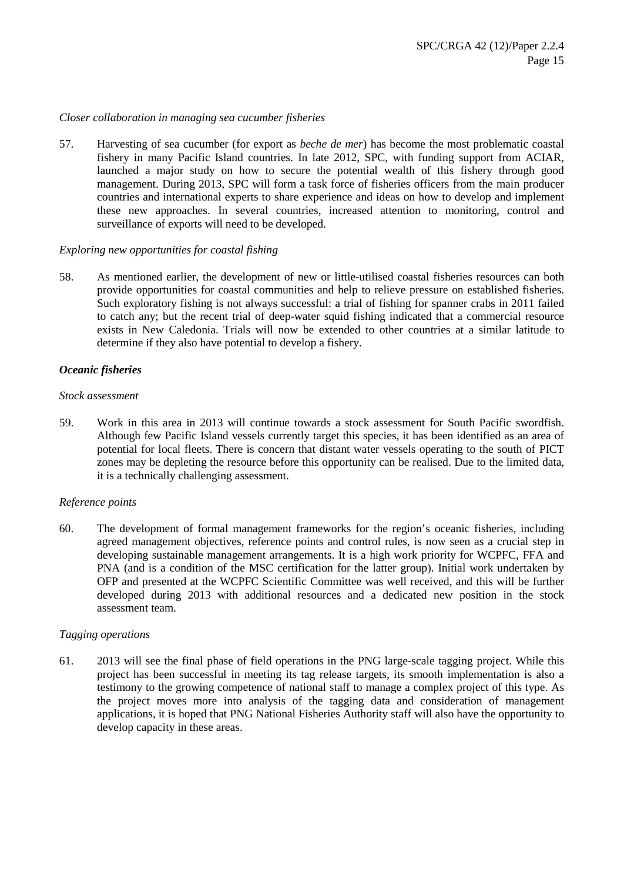#### *Closer collaboration in managing sea cucumber fisheries*

57. Harvesting of sea cucumber (for export as *beche de mer*) has become the most problematic coastal fishery in many Pacific Island countries. In late 2012, SPC, with funding support from ACIAR, launched a major study on how to secure the potential wealth of this fishery through good management. During 2013, SPC will form a task force of fisheries officers from the main producer countries and international experts to share experience and ideas on how to develop and implement these new approaches. In several countries, increased attention to monitoring, control and surveillance of exports will need to be developed.

#### *Exploring new opportunities for coastal fishing*

58. As mentioned earlier, the development of new or little-utilised coastal fisheries resources can both provide opportunities for coastal communities and help to relieve pressure on established fisheries. Such exploratory fishing is not always successful: a trial of fishing for spanner crabs in 2011 failed to catch any; but the recent trial of deep-water squid fishing indicated that a commercial resource exists in New Caledonia. Trials will now be extended to other countries at a similar latitude to determine if they also have potential to develop a fishery.

#### *Oceanic fisheries*

#### *Stock assessment*

59. Work in this area in 2013 will continue towards a stock assessment for South Pacific swordfish. Although few Pacific Island vessels currently target this species, it has been identified as an area of potential for local fleets. There is concern that distant water vessels operating to the south of PICT zones may be depleting the resource before this opportunity can be realised. Due to the limited data, it is a technically challenging assessment.

### *Reference points*

60. The development of formal management frameworks for the region's oceanic fisheries, including agreed management objectives, reference points and control rules, is now seen as a crucial step in developing sustainable management arrangements. It is a high work priority for WCPFC, FFA and PNA (and is a condition of the MSC certification for the latter group). Initial work undertaken by OFP and presented at the WCPFC Scientific Committee was well received, and this will be further developed during 2013 with additional resources and a dedicated new position in the stock assessment team.

#### *Tagging operations*

61. 2013 will see the final phase of field operations in the PNG large-scale tagging project. While this project has been successful in meeting its tag release targets, its smooth implementation is also a testimony to the growing competence of national staff to manage a complex project of this type. As the project moves more into analysis of the tagging data and consideration of management applications, it is hoped that PNG National Fisheries Authority staff will also have the opportunity to develop capacity in these areas.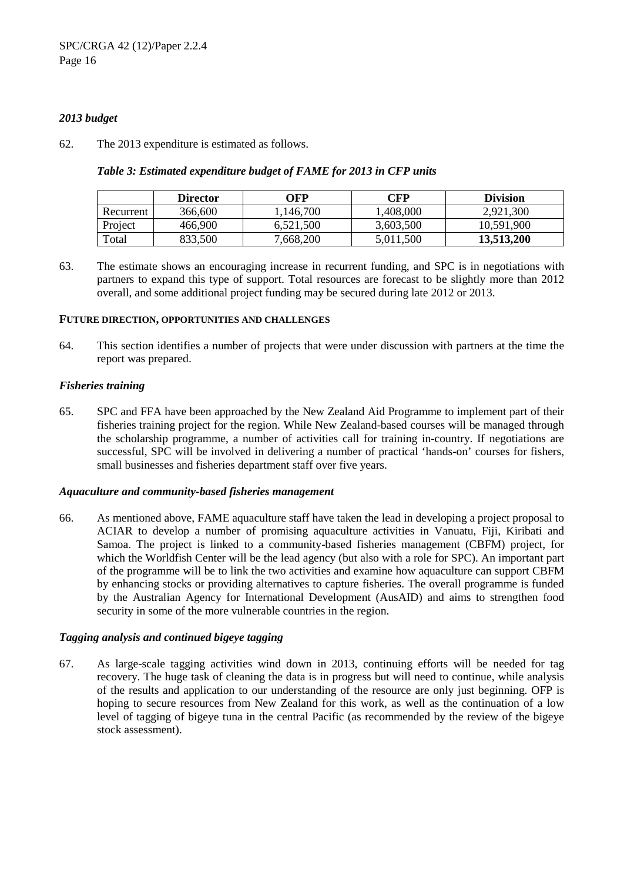### *2013 budget*

62. The 2013 expenditure is estimated as follows.

|           | <b>Director</b> | OFP       | CFP       | <b>Division</b> |
|-----------|-----------------|-----------|-----------|-----------------|
| Recurrent | 366,600         | !,146,700 | 1,408,000 | 2,921,300       |
| Project   | 466,900         | 6,521,500 | 3,603,500 | 10,591,900      |
| Total     | 833.500         | 7,668,200 | 5,011,500 | 13.513.200      |

*Table 3: Estimated expenditure budget of FAME for 2013 in CFP units*

63. The estimate shows an encouraging increase in recurrent funding, and SPC is in negotiations with partners to expand this type of support. Total resources are forecast to be slightly more than 2012 overall, and some additional project funding may be secured during late 2012 or 2013.

### **FUTURE DIRECTION, OPPORTUNITIES AND CHALLENGES**

64. This section identifies a number of projects that were under discussion with partners at the time the report was prepared.

### *Fisheries training*

65. SPC and FFA have been approached by the New Zealand Aid Programme to implement part of their fisheries training project for the region. While New Zealand-based courses will be managed through the scholarship programme, a number of activities call for training in-country. If negotiations are successful, SPC will be involved in delivering a number of practical 'hands-on' courses for fishers, small businesses and fisheries department staff over five years.

### *Aquaculture and community-based fisheries management*

66. As mentioned above, FAME aquaculture staff have taken the lead in developing a project proposal to ACIAR to develop a number of promising aquaculture activities in Vanuatu, Fiji, Kiribati and Samoa. The project is linked to a community-based fisheries management (CBFM) project, for which the Worldfish Center will be the lead agency (but also with a role for SPC). An important part of the programme will be to link the two activities and examine how aquaculture can support CBFM by enhancing stocks or providing alternatives to capture fisheries. The overall programme is funded by the Australian Agency for International Development (AusAID) and aims to strengthen food security in some of the more vulnerable countries in the region.

### *Tagging analysis and continued bigeye tagging*

67. As large-scale tagging activities wind down in 2013, continuing efforts will be needed for tag recovery. The huge task of cleaning the data is in progress but will need to continue, while analysis of the results and application to our understanding of the resource are only just beginning. OFP is hoping to secure resources from New Zealand for this work, as well as the continuation of a low level of tagging of bigeye tuna in the central Pacific (as recommended by the review of the bigeye stock assessment).